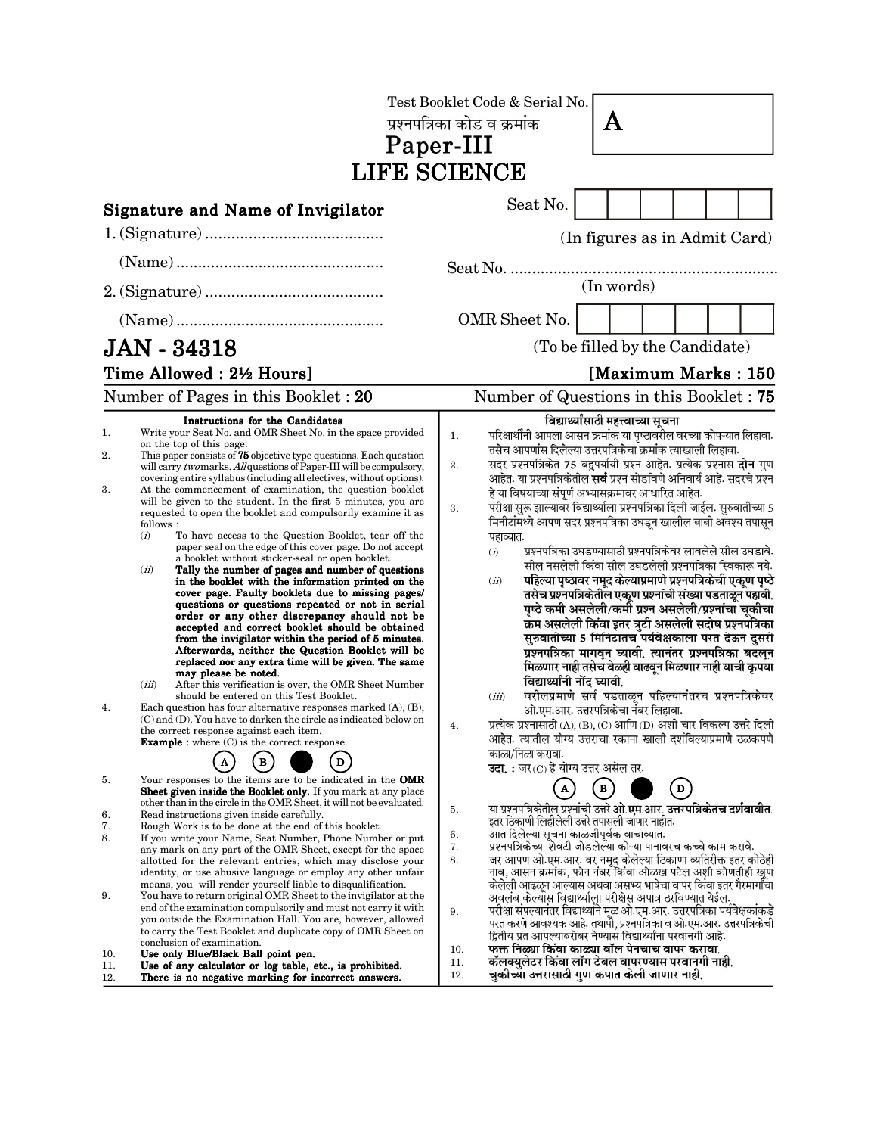|                                                 |                                                                                                                                                                                                                                                                                                                                                                                                                                                                                                                                                                                                                                                                                                                                                                                                                                                                                                                                                                                                                                                                                                                                                                                                                                                                                                                                                                                                                                                                                                                                                                                                                                       | Test Booklet Code & Serial No.<br>A<br>प्रश्नपत्रिका कोड व क्रमांक<br>Paper-III                                                                                                                                                                                                                                                                                                                                                                                                                                                                                                                                                                                                                                                                                                                                                                                                                                                                                                                                                                                                                                                                                                                                                                                                                                                                                                                                                                                                                                                      |
|-------------------------------------------------|---------------------------------------------------------------------------------------------------------------------------------------------------------------------------------------------------------------------------------------------------------------------------------------------------------------------------------------------------------------------------------------------------------------------------------------------------------------------------------------------------------------------------------------------------------------------------------------------------------------------------------------------------------------------------------------------------------------------------------------------------------------------------------------------------------------------------------------------------------------------------------------------------------------------------------------------------------------------------------------------------------------------------------------------------------------------------------------------------------------------------------------------------------------------------------------------------------------------------------------------------------------------------------------------------------------------------------------------------------------------------------------------------------------------------------------------------------------------------------------------------------------------------------------------------------------------------------------------------------------------------------------|--------------------------------------------------------------------------------------------------------------------------------------------------------------------------------------------------------------------------------------------------------------------------------------------------------------------------------------------------------------------------------------------------------------------------------------------------------------------------------------------------------------------------------------------------------------------------------------------------------------------------------------------------------------------------------------------------------------------------------------------------------------------------------------------------------------------------------------------------------------------------------------------------------------------------------------------------------------------------------------------------------------------------------------------------------------------------------------------------------------------------------------------------------------------------------------------------------------------------------------------------------------------------------------------------------------------------------------------------------------------------------------------------------------------------------------------------------------------------------------------------------------------------------------|
|                                                 |                                                                                                                                                                                                                                                                                                                                                                                                                                                                                                                                                                                                                                                                                                                                                                                                                                                                                                                                                                                                                                                                                                                                                                                                                                                                                                                                                                                                                                                                                                                                                                                                                                       | <b>LIFE SCIENCE</b>                                                                                                                                                                                                                                                                                                                                                                                                                                                                                                                                                                                                                                                                                                                                                                                                                                                                                                                                                                                                                                                                                                                                                                                                                                                                                                                                                                                                                                                                                                                  |
|                                                 | <b>Signature and Name of Invigilator</b>                                                                                                                                                                                                                                                                                                                                                                                                                                                                                                                                                                                                                                                                                                                                                                                                                                                                                                                                                                                                                                                                                                                                                                                                                                                                                                                                                                                                                                                                                                                                                                                              | Seat No.                                                                                                                                                                                                                                                                                                                                                                                                                                                                                                                                                                                                                                                                                                                                                                                                                                                                                                                                                                                                                                                                                                                                                                                                                                                                                                                                                                                                                                                                                                                             |
|                                                 |                                                                                                                                                                                                                                                                                                                                                                                                                                                                                                                                                                                                                                                                                                                                                                                                                                                                                                                                                                                                                                                                                                                                                                                                                                                                                                                                                                                                                                                                                                                                                                                                                                       | (In figures as in Admit Card)                                                                                                                                                                                                                                                                                                                                                                                                                                                                                                                                                                                                                                                                                                                                                                                                                                                                                                                                                                                                                                                                                                                                                                                                                                                                                                                                                                                                                                                                                                        |
|                                                 |                                                                                                                                                                                                                                                                                                                                                                                                                                                                                                                                                                                                                                                                                                                                                                                                                                                                                                                                                                                                                                                                                                                                                                                                                                                                                                                                                                                                                                                                                                                                                                                                                                       |                                                                                                                                                                                                                                                                                                                                                                                                                                                                                                                                                                                                                                                                                                                                                                                                                                                                                                                                                                                                                                                                                                                                                                                                                                                                                                                                                                                                                                                                                                                                      |
|                                                 |                                                                                                                                                                                                                                                                                                                                                                                                                                                                                                                                                                                                                                                                                                                                                                                                                                                                                                                                                                                                                                                                                                                                                                                                                                                                                                                                                                                                                                                                                                                                                                                                                                       | (In words)                                                                                                                                                                                                                                                                                                                                                                                                                                                                                                                                                                                                                                                                                                                                                                                                                                                                                                                                                                                                                                                                                                                                                                                                                                                                                                                                                                                                                                                                                                                           |
|                                                 |                                                                                                                                                                                                                                                                                                                                                                                                                                                                                                                                                                                                                                                                                                                                                                                                                                                                                                                                                                                                                                                                                                                                                                                                                                                                                                                                                                                                                                                                                                                                                                                                                                       | OMR Sheet No.                                                                                                                                                                                                                                                                                                                                                                                                                                                                                                                                                                                                                                                                                                                                                                                                                                                                                                                                                                                                                                                                                                                                                                                                                                                                                                                                                                                                                                                                                                                        |
|                                                 | <b>JAN - 34318</b>                                                                                                                                                                                                                                                                                                                                                                                                                                                                                                                                                                                                                                                                                                                                                                                                                                                                                                                                                                                                                                                                                                                                                                                                                                                                                                                                                                                                                                                                                                                                                                                                                    | (To be filled by the Candidate)                                                                                                                                                                                                                                                                                                                                                                                                                                                                                                                                                                                                                                                                                                                                                                                                                                                                                                                                                                                                                                                                                                                                                                                                                                                                                                                                                                                                                                                                                                      |
|                                                 | Time Allowed: 2½ Hours]                                                                                                                                                                                                                                                                                                                                                                                                                                                                                                                                                                                                                                                                                                                                                                                                                                                                                                                                                                                                                                                                                                                                                                                                                                                                                                                                                                                                                                                                                                                                                                                                               | [Maximum Marks: 150                                                                                                                                                                                                                                                                                                                                                                                                                                                                                                                                                                                                                                                                                                                                                                                                                                                                                                                                                                                                                                                                                                                                                                                                                                                                                                                                                                                                                                                                                                                  |
|                                                 | Number of Pages in this Booklet: 20                                                                                                                                                                                                                                                                                                                                                                                                                                                                                                                                                                                                                                                                                                                                                                                                                                                                                                                                                                                                                                                                                                                                                                                                                                                                                                                                                                                                                                                                                                                                                                                                   | Number of Questions in this Booklet: 75                                                                                                                                                                                                                                                                                                                                                                                                                                                                                                                                                                                                                                                                                                                                                                                                                                                                                                                                                                                                                                                                                                                                                                                                                                                                                                                                                                                                                                                                                              |
| 1.<br>2.<br>3.<br>4.                            | Instructions for the Candidates<br>Write your Seat No. and OMR Sheet No. in the space provided<br>on the top of this page.<br>This paper consists of 75 objective type questions. Each question<br>will carry twomarks. All questions of Paper-III will be compulsory,<br>covering entire syllabus (including all electives, without options).<br>At the commencement of examination, the question booklet<br>will be given to the student. In the first 5 minutes, you are<br>requested to open the booklet and compulsorily examine it as<br>follows:<br>(i)<br>To have access to the Question Booklet, tear off the<br>paper seal on the edge of this cover page. Do not accept<br>a booklet without sticker-seal or open booklet.<br>(ii)<br>Tally the number of pages and number of questions<br>in the booklet with the information printed on the<br>cover page. Faulty booklets due to missing pages/<br>questions or questions repeated or not in serial<br>order or any other discrepancy should not be<br>accepted and correct booklet should be obtained<br>from the invigilator within the period of 5 minutes.<br>Afterwards, neither the Question Booklet will be<br>replaced nor any extra time will be given. The same<br>may please be noted.<br>(iii)<br>After this verification is over, the OMR Sheet Number<br>should be entered on this Test Booklet.<br>Each question has four alternative responses marked $(A)$ , $(B)$ ,<br>(C) and (D). You have to darken the circle as indicated below on<br>the correct response against each item.<br><b>Example :</b> where $(C)$ is the correct response.<br>B<br>D | विद्यार्थ्यांसाठी महत्त्वाच्या सूचना<br>परिक्षार्थींनी आपला आसन क्रमांक या पृष्ठावरील वरच्या कोपऱ्यात लिहावा.<br>1.<br>तसेच आपणांस दिलेल्या उत्तरपत्रिकेचा क्रमांक त्याखाली लिहावा.<br>सदर प्रश्नपत्रिकेत 75 बहुपर्यायी प्रश्न आहेत. प्रत्येक प्रश्नास <b>दोन</b> गुण<br>2.<br>आहेत. या प्रश्नपत्रिकेतील <b>सर्व</b> प्रश्न सोडविणे अनिवार्य आहे. सदरचे प्रश्न<br>हे या विषयाच्या संपूर्ण अभ्यासक्रमावर आधारित आहेत.<br>परीक्षा सुरू झाल्यावर विद्यार्थ्याला प्रश्नपत्रिका दिली जाईल. सुरुवातीच्या 5<br>3.<br>मिनीटांमध्ये आपण सदर प्रश्नपत्रिका उघडून खालील बाबी अवश्य तपासून<br>पहाव्यात.<br>प्रश्नपत्रिका उघडण्यासाठी प्रश्नपत्रिकेवर लावलेले सील उघडावे.<br>(i)<br>सील नसलेली किंवा सील उघडलेली प्रश्नपत्रिका स्विकारू नये.<br>पहिल्या पृष्ठावर नमूद केल्याप्रमाणे प्रश्नपत्रिकेची एकूण पृष्ठे<br>(ii)<br>तसेच प्रश्नपत्रिकेतील एकूण प्रश्नांची संख्या पडताळून पहावी.<br>पृष्ठे कमी असलेली/कमी प्रश्न असलेली/प्रश्नांचा चूकीचा<br>क्रम असलेली किंवा इतर त्रुटी असलेली सदोष प्रश्नपत्रिका<br>सुरुवातीच्या 5 मिनिटातच पर्यवेक्षकाला परत देऊन दुसरी<br>प्रश्नपत्रिका मागवून घ्यावी. त्यानंतर प्रश्नपत्रिका बदलून<br>मिळणार नाही तसेच वेळही वाढवून मिळणार नाही याची कृपया<br>विद्यार्थ्यांनी नोंद घ्यावी.<br>वरीलप्रमाणे सर्व पडताळून पहिल्यानंतरच प्रश्नपत्रिकेवर<br>(iii)<br>ओ.एम.आर. उत्तरपत्रिकेचा नंबर लिहावा.<br>प्रत्येक प्रश्नासाठी (A), (B), (C) आणि (D) अशी चार विकल्प उत्तरे दिली<br>आहेत. त्यातील योग्य उत्तराचा रकाना खाली दर्शविल्याप्रमाणे ठळकपणे<br>काळा/निळा करावा.<br><b>उदा.</b> : जर (C) हे योग्य उत्तर असेल तर. |
| 5.<br>6.<br>7.<br>8.<br>9.<br>10.<br>11.<br>12. | Your responses to the items are to be indicated in the OMR<br>Sheet given inside the Booklet only. If you mark at any place<br>other than in the circle in the OMR Sheet, it will not be evaluated.<br>Read instructions given inside carefully.<br>Rough Work is to be done at the end of this booklet.<br>If you write your Name, Seat Number, Phone Number or put<br>any mark on any part of the OMR Sheet, except for the space<br>allotted for the relevant entries, which may disclose your<br>identity, or use abusive language or employ any other unfair<br>means, you will render yourself liable to disqualification.<br>You have to return original OMR Sheet to the invigilator at the<br>end of the examination compulsorily and must not carry it with<br>you outside the Examination Hall. You are, however, allowed<br>to carry the Test Booklet and duplicate copy of OMR Sheet on<br>conclusion of examination.<br>Use only Blue/Black Ball point pen.<br>Use of any calculator or log table, etc., is prohibited.<br>There is no negative marking for incorrect answers.                                                                                                                                                                                                                                                                                                                                                                                                                                                                                                                                          | $\, {\bf B}$<br>$\mathbf{D}$<br>या प्रश्नपत्रिकेतील प्रश्नांची उत्तरे ओ.एम.आर. उत्तरपत्रिकेतच दर्शवावीत.<br>5.<br>इतर ठिकाणी लिहीलेली उत्तरे तपासली जाणार नाहीत.<br>आत दिलेल्या सूचना काळजीपूर्वक वाचाव्यात.<br>6.<br>प्रश्नपत्रिकेच्या शेवटी जोडलेल्या कोऱ्या पानावरच कच्चे काम करावे.<br>7.<br>जर आपण ओ.एम.आर. वर नमूद केलेल्या ठिकाणा व्यतिरीक्त इतर कोठेही<br>8.<br>नाव, आसन क्रमांक, फोन नंबर किंवा ओळख पटेल अशी कोणतीही खूण<br>केलेली आढळून आल्यास अथवा असभ्य भाषेचा वापर किंवा इतर गैरमार्गांचा<br>अवलंब केल्यास विद्यार्थ्याला परीक्षेस अपात्र ठरविण्यात येईल.<br>परीक्षा संपल्यानंतर विद्यार्थ्याने मूळ ओ.एम.आर. उत्तरपत्रिका पर्यवेक्षकांकडे<br>9.<br>परत करणे आवश्यक आहे. तथापैी, प्रश्नपत्रिका व ओ.एम.आर. उत्तरपत्रिकेची<br>द्वितीय प्रत आपल्याबरोबर नेण्यास विद्यार्थ्यांना परवानगी आहे.<br>फक्त निळ्या किंवा काळ्या बॉल पेनचाच वापर करावा.<br>10.<br>कॅलक्युलेटर किंवा लॉग टेबल वापरण्यास परवानगी नाही.<br>11.<br>चुकीच्या उत्तरासाठी गुण कपात केली जाणार नाही.<br>12.                                                                                                                                                                                                                                                                                                                                                                                                                                                                                                                                                 |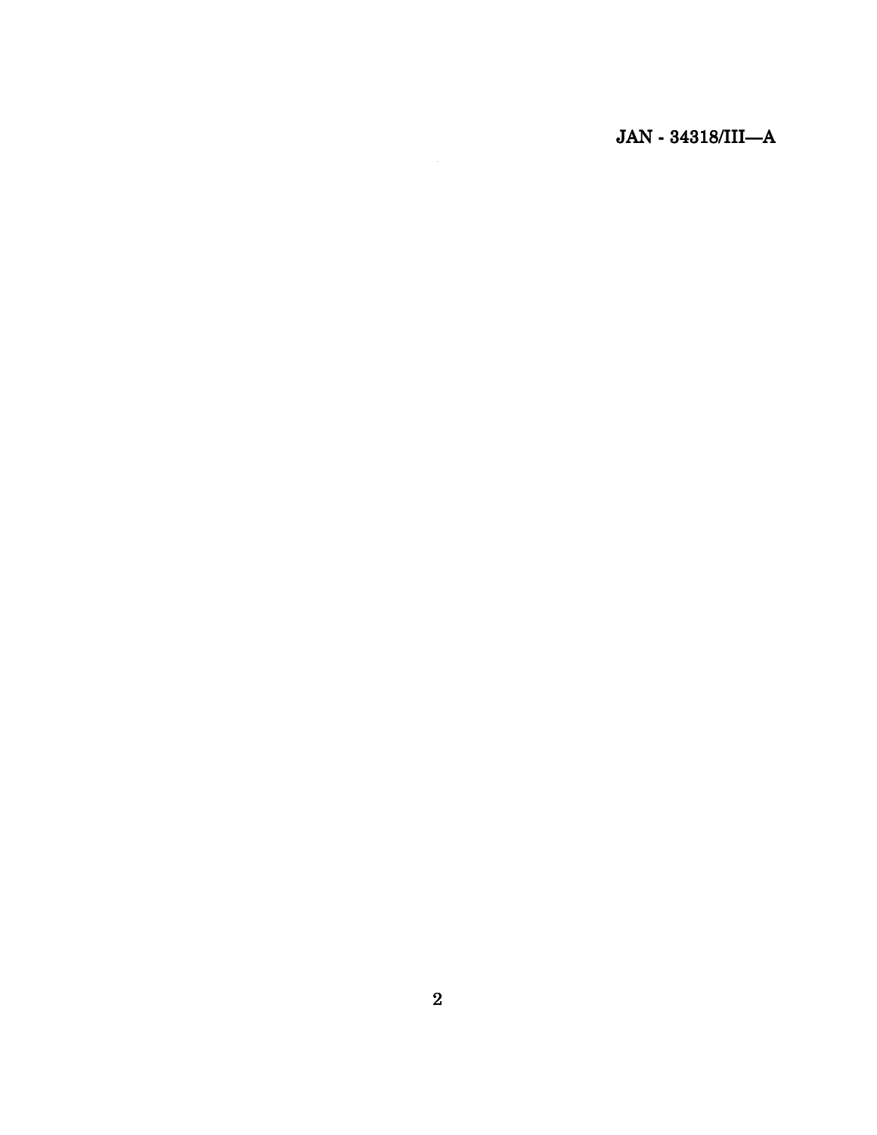$\sim 10$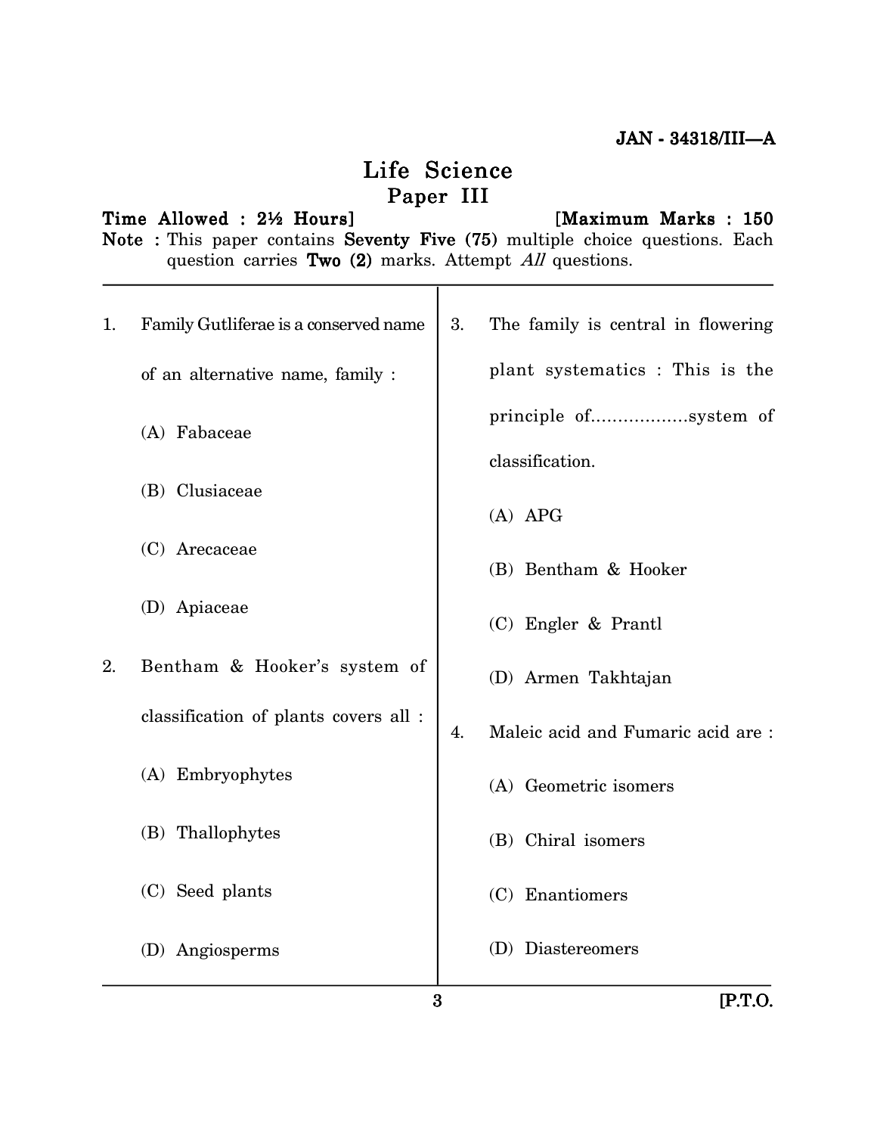# Life Science Paper III

| Time Allowed : 2½ Hours]                                                    | [Maximum Marks: 150] |
|-----------------------------------------------------------------------------|----------------------|
| Note: This paper contains Seventy Five (75) multiple choice questions. Each |                      |
| question carries <b>Two</b> (2) marks. Attempt $All$ questions.             |                      |

| 1. | Family Gutliferae is a conserved name | 3. | The family is central in flowering |
|----|---------------------------------------|----|------------------------------------|
|    | of an alternative name, family :      |    | plant systematics : This is the    |
|    | (A) Fabaceae                          |    | principle ofsystem of              |
|    | (B) Clusiaceae                        |    | classification.                    |
|    |                                       |    | $(A)$ APG                          |
|    | (C) Arecaceae                         |    | (B) Bentham & Hooker               |
|    | (D) Apiaceae                          |    | (C) Engler & Prantl                |
| 2. | Bentham & Hooker's system of          |    | (D) Armen Takhtajan                |
|    | classification of plants covers all : | 4. | Maleic acid and Fumaric acid are : |
|    | (A) Embryophytes                      |    | (A) Geometric isomers              |
|    | (B) Thallophytes                      |    | (B) Chiral isomers                 |
|    | (C) Seed plants                       |    | (C) Enantiomers                    |
|    | (D) Angiosperms                       |    | (D) Diastereomers                  |
|    |                                       | 3  | $[$ P.T.O.                         |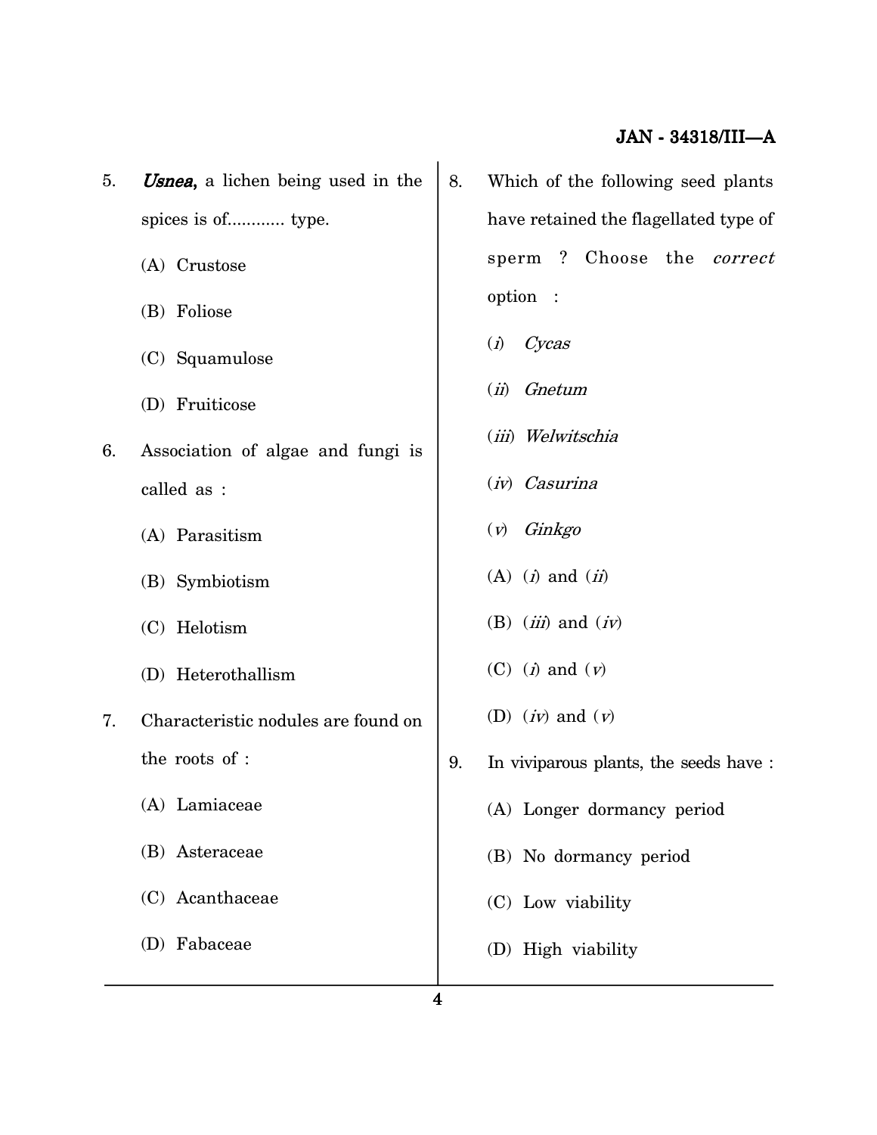- 5. *Usnea*, a lichen being used in the spices is of............ type.
	- (A) Crustose
	- (B) Foliose
	- (C) Squamulose
	- (D) Fruiticose
- 6. Association of algae and fungi is called as :
	- (A) Parasitism
	- (B) Symbiotism
	- (C) Helotism
	- (D) Heterothallism
- 7. Characteristic nodules are found on the roots of :
	- (A) Lamiaceae
	- (B) Asteraceae
	- (C) Acanthaceae
	- (D) Fabaceae
- 8. Which of the following seed plants have retained the flagellated type of sperm ? Choose the *correct* option :
	- (i) Cycas
	- (ii) Gnetum
	- (iii) Welwitschia
	- (iv) Casurina
	- (v) Ginkgo
	- $(A)$  (*i*) and (*ii*)
	- (B)  $(iii)$  and  $(iv)$
	- (C)  $(i)$  and  $(v)$
	- (D)  $(iv)$  and  $(v)$
- 9. In viviparous plants, the seeds have :
	- (A) Longer dormancy period
	- (B) No dormancy period
	- (C) Low viability
	- (D) High viability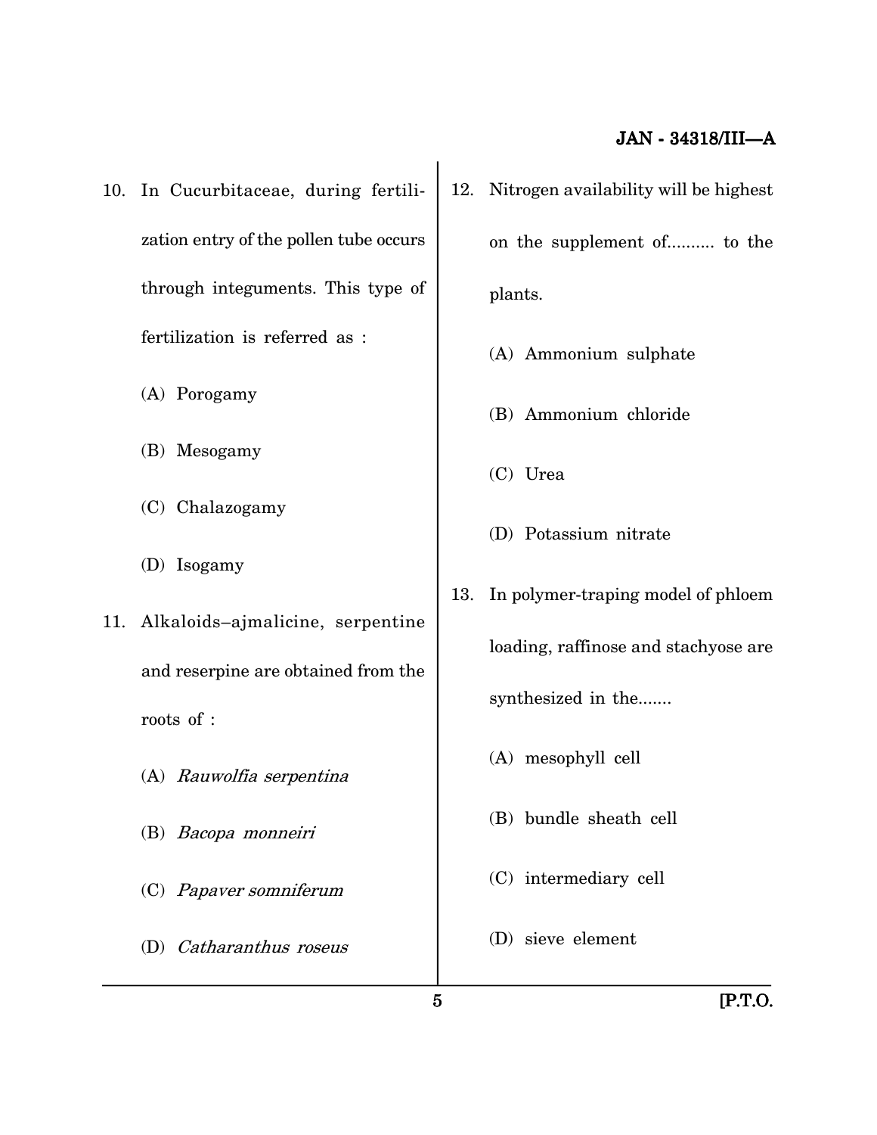- 10. In Cucurbitaceae, during fertilization entry of the pollen tube occurs through integuments. This type of fertilization is referred as :
	- (A) Porogamy
	- (B) Mesogamy
	- (C) Chalazogamy
	- (D) Isogamy
- 11. Alkaloids–ajmalicine, serpentine and reserpine are obtained from the roots of :
	- (A) Rauwolfia serpentina
	- (B) Bacopa monneiri
	- (C) Papaver somniferum
	- (D) Catharanthus roseus
- 12. Nitrogen availability will be highest on the supplement of.......... to the plants.
	- (A) Ammonium sulphate
	- (B) Ammonium chloride
	- (C) Urea
	- (D) Potassium nitrate
- 13. In polymer-traping model of phloem loading, raffinose and stachyose are synthesized in the.......
	- (A) mesophyll cell
	- (B) bundle sheath cell
	- (C) intermediary cell
	- (D) sieve element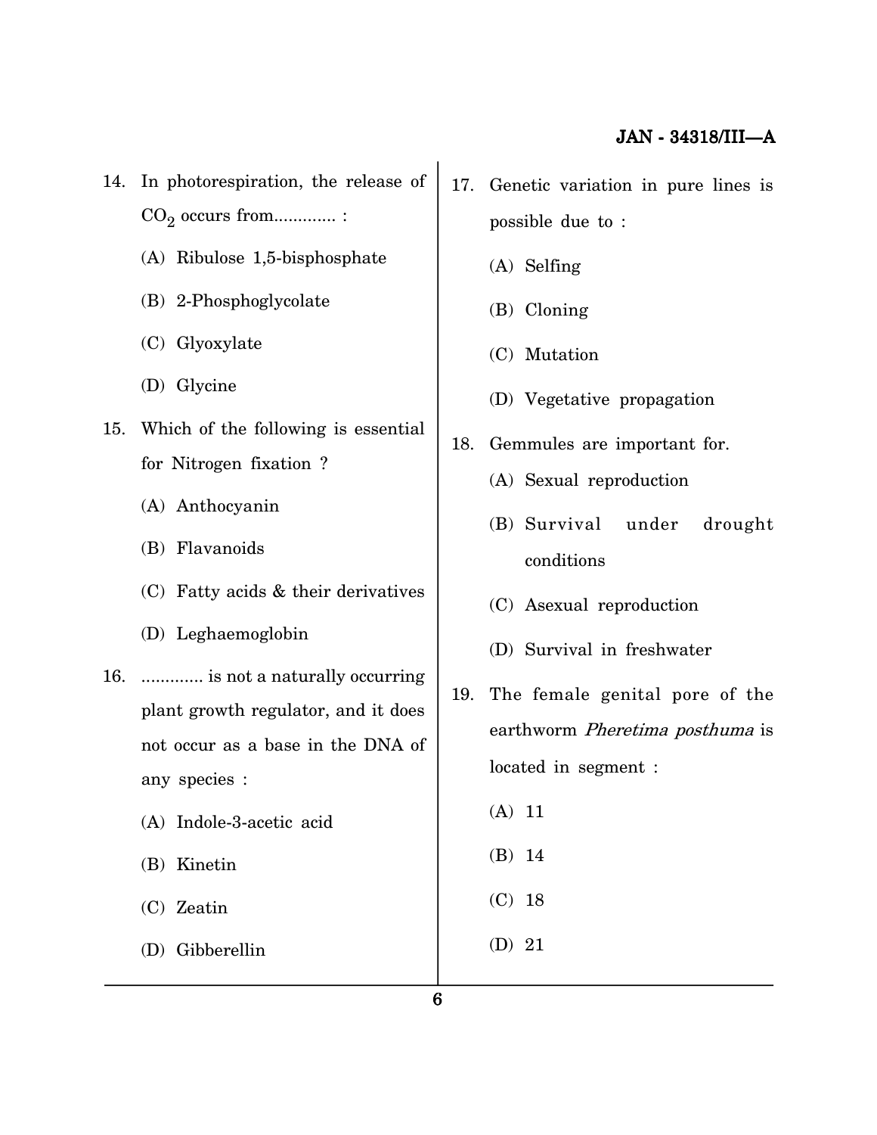- 14. In photorespiration, the release of  $\mathrm{CO}_2$  occurs from............. :
	- (A) Ribulose 1,5-bisphosphate
	- (B) 2-Phosphoglycolate
	- (C) Glyoxylate
	- (D) Glycine
- 15. Which of the following is essential for Nitrogen fixation ?
	- (A) Anthocyanin
	- (B) Flavanoids
	- (C) Fatty acids & their derivatives
	- (D) Leghaemoglobin
- 16. ............. is not a naturally occurring plant growth regulator, and it does not occur as a base in the DNA of any species :
	- (A) Indole-3-acetic acid
	- (B) Kinetin
	- (C) Zeatin
	- (D) Gibberellin
- 17. Genetic variation in pure lines is possible due to :
	- (A) Selfing
	- (B) Cloning
	- (C) Mutation
	- (D) Vegetative propagation
- 18. Gemmules are important for.
	- (A) Sexual reproduction
	- (B) Survival under drought conditions
	- (C) Asexual reproduction
	- (D) Survival in freshwater
- 19. The female genital pore of the earthworm Pheretima posthuma is located in segment :
	- (A) 11
	- (B) 14
	- (C) 18
- (D) 21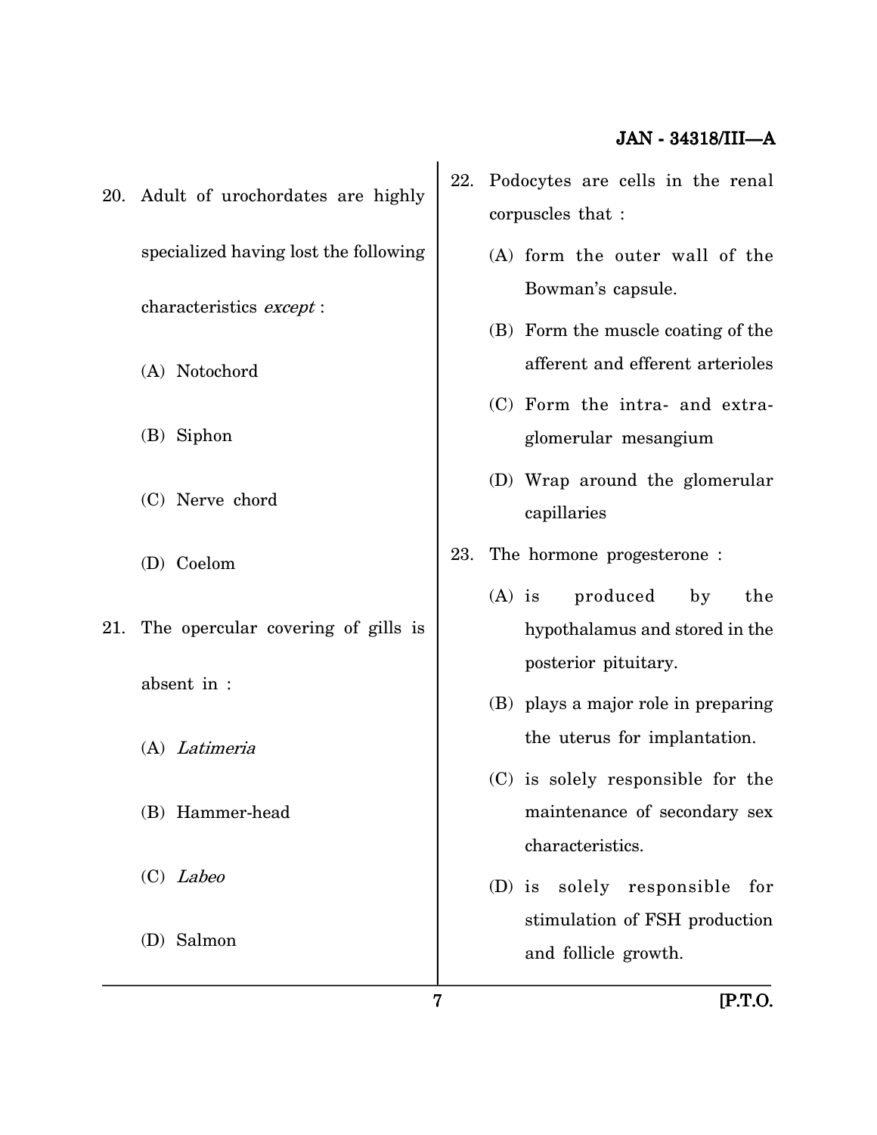- 20. Adult of urochordates are highly specialized having lost the following characteristics except :
	- (A) Notochord
	- (B) Siphon
	- (C) Nerve chord
	- (D) Coelom
- 21. The opercular covering of gills is absent in :
	- (A) Latimeria
	- (B) Hammer-head
	- (C) Labeo
	- (D) Salmon
- 22. Podocytes are cells in the renal corpuscles that :
	- (A) form the outer wall of the Bowman's capsule.
	- (B) Form the muscle coating of the afferent and efferent arterioles
	- (C) Form the intra- and extraglomerular mesangium
	- (D) Wrap around the glomerular capillaries
- 23. The hormone progesterone :
	- (A) is produced by the hypothalamus and stored in the posterior pituitary.
	- (B) plays a major role in preparing the uterus for implantation.
	- (C) is solely responsible for the maintenance of secondary sex characteristics.
	- (D) is solely responsible for stimulation of FSH production and follicle growth.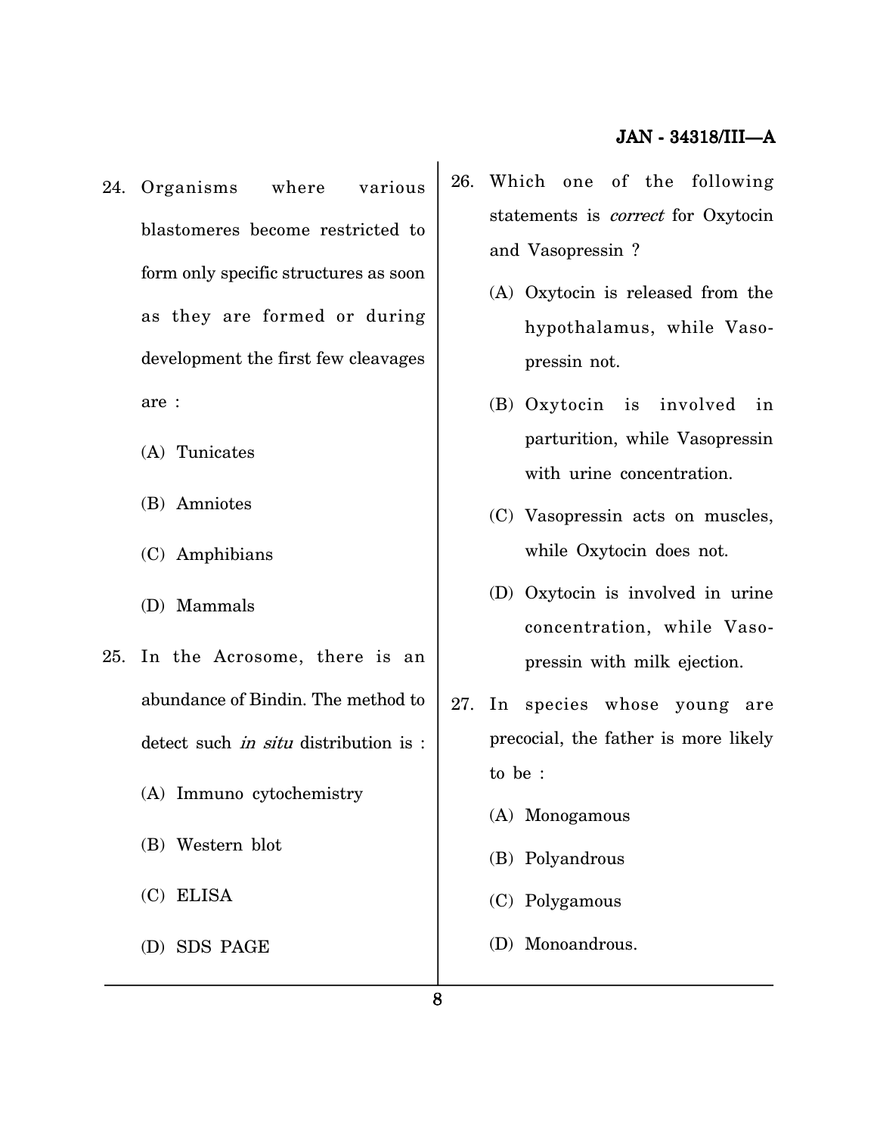- 24. Organisms where various blastomeres become restricted to form only specific structures as soon as they are formed or during development the first few cleavages are :
	- (A) Tunicates
	- (B) Amniotes
	- (C) Amphibians
	- (D) Mammals
- 25. In the Acrosome, there is an abundance of Bindin. The method to detect such *in situ* distribution is :
	- (A) Immuno cytochemistry
	- (B) Western blot
	- (C) ELISA
	- (D) SDS PAGE
- 26. Which one of the following statements is correct for Oxytocin and Vasopressin ?
	- (A) Oxytocin is released from the hypothalamus, while Vasopressin not.
	- (B) Oxytocin is involved in parturition, while Vasopressin with urine concentration.
	- (C) Vasopressin acts on muscles, while Oxytocin does not.
	- (D) Oxytocin is involved in urine concentration, while Vasopressin with milk ejection.
- 27. In species whose young are precocial, the father is more likely to be :
	- (A) Monogamous
	- (B) Polyandrous
	- (C) Polygamous
	- (D) Monoandrous.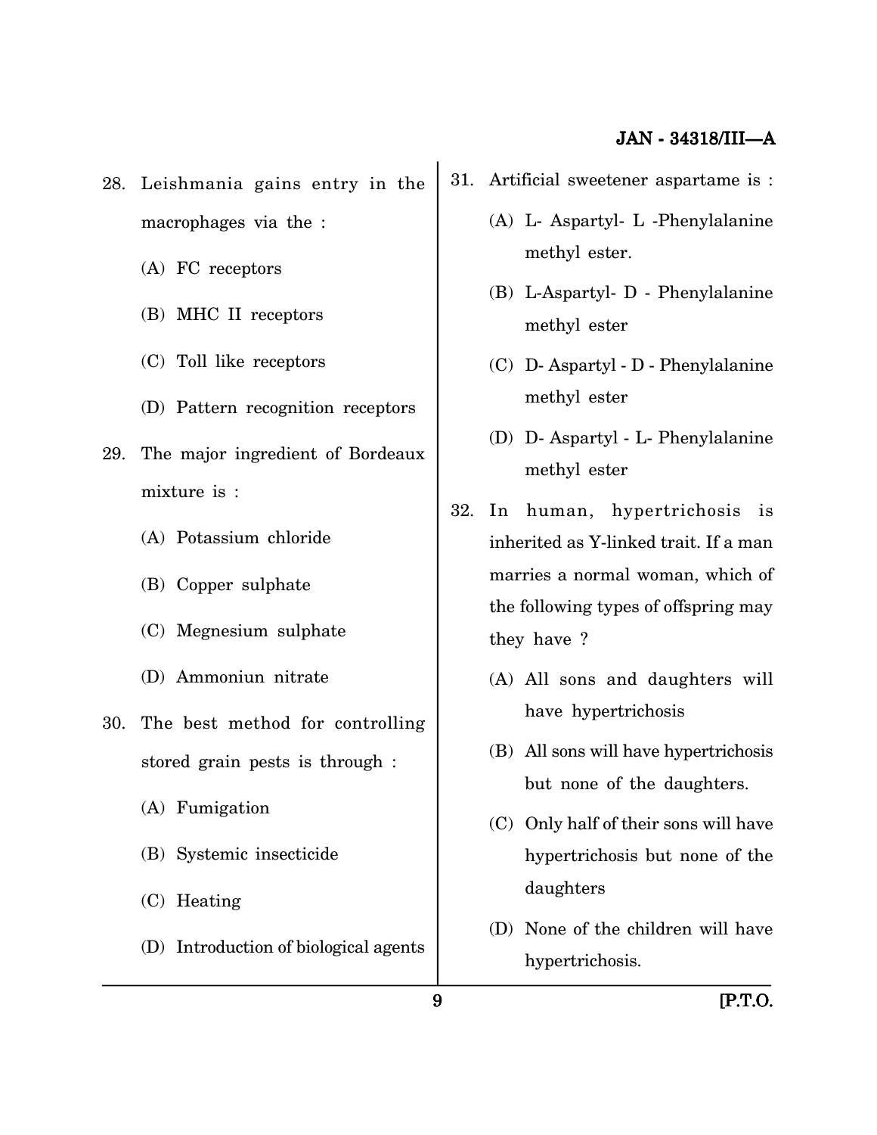- 28. Leishmania gains entry in the macrophages via the :
	- (A) FC receptors
	- (B) MHC II receptors
	- (C) Toll like receptors
	- (D) Pattern recognition receptors
- 29. The major ingredient of Bordeaux mixture is :
	- (A) Potassium chloride
	- (B) Copper sulphate
	- (C) Megnesium sulphate
	- (D) Ammoniun nitrate
- 30. The best method for controlling stored grain pests is through :
	- (A) Fumigation
	- (B) Systemic insecticide
	- (C) Heating
	- (D) Introduction of biological agents
- 31. Artificial sweetener aspartame is :
	- (A) L- Aspartyl- L -Phenylalanine methyl ester.
	- (B) L-Aspartyl- D Phenylalanine methyl ester
	- (C) D- Aspartyl D Phenylalanine methyl ester
	- (D) D- Aspartyl L- Phenylalanine methyl ester
- 32. In human, hypertrichosis is inherited as Y-linked trait. If a man marries a normal woman, which of the following types of offspring may they have ?
	- (A) All sons and daughters will have hypertrichosis
	- (B) All sons will have hypertrichosis but none of the daughters.
	- (C) Only half of their sons will have hypertrichosis but none of the daughters
	- (D) None of the children will have hypertrichosis.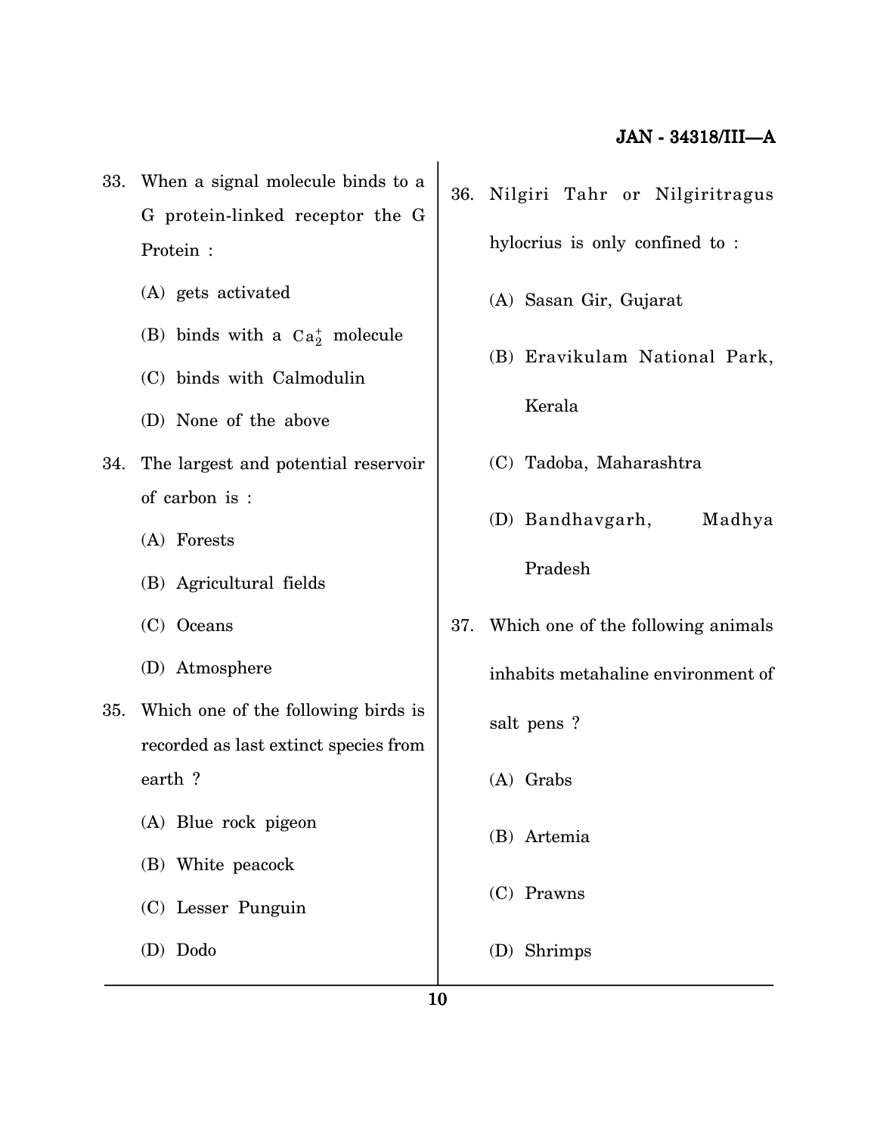- 33. When a signal molecule binds to a G protein-linked receptor the G Protein :
	- (A) gets activated
	- (B) binds with a  $Ca<sub>2</sub><sup>+</sup>$  molecule
	- (C) binds with Calmodulin
	- (D) None of the above
- 34. The largest and potential reservoir of carbon is :
	- (A) Forests
	- (B) Agricultural fields
	- (C) Oceans
	- (D) Atmosphere
- 35. Which one of the following birds is recorded as last extinct species from earth ?
	- (A) Blue rock pigeon
	- (B) White peacock
	- (C) Lesser Punguin
	- (D) Dodo
- 36. Nilgiri Tahr or Nilgiritragus hylocrius is only confined to :
	- (A) Sasan Gir, Gujarat
	- (B) Eravikulam National Park,

Kerala

- (C) Tadoba, Maharashtra
- (D) Bandhavgarh, Madhya Pradesh
- 37. Which one of the following animals inhabits metahaline environment of salt pens ? (A) Grabs (B) Artemia
	- (C) Prawns
	- (D) Shrimps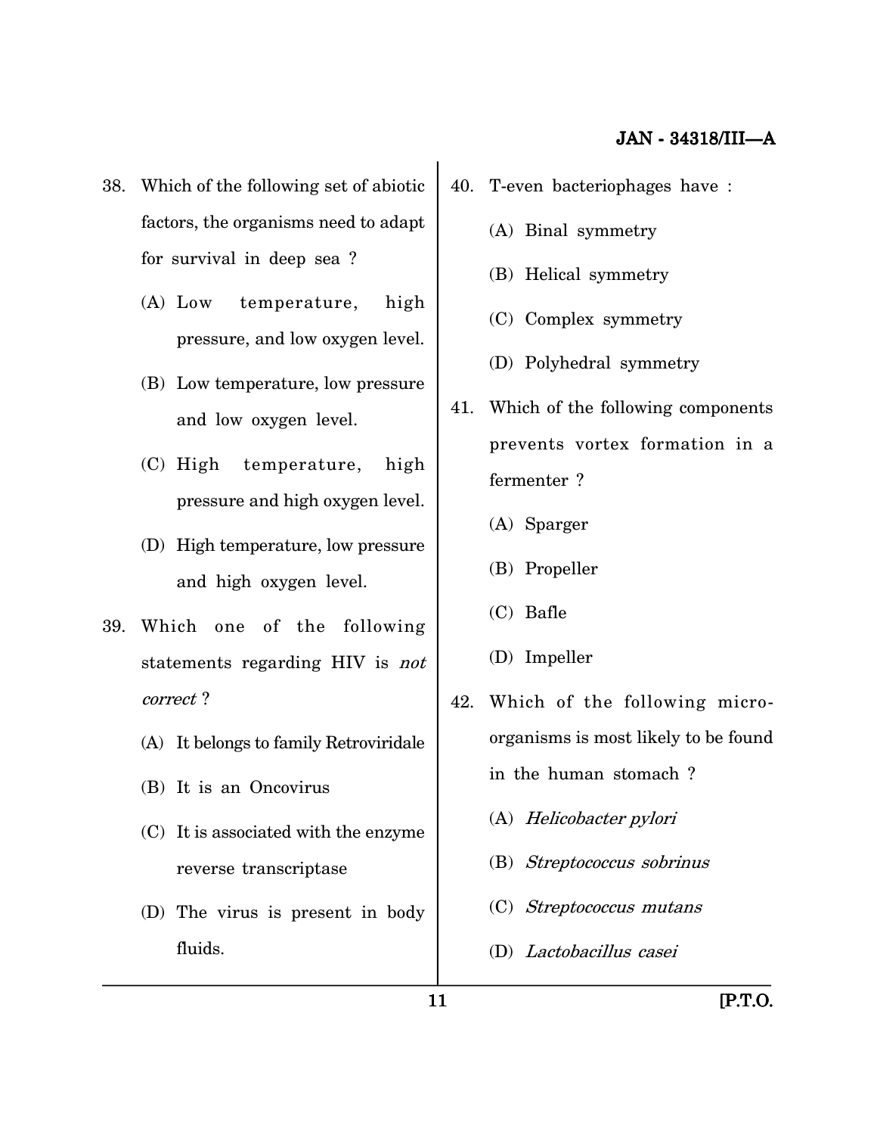- 38. Which of the following set of abiotic factors, the organisms need to adapt for survival in deep sea ?
	- (A) Low temperature, high pressure, and low oxygen level.
	- (B) Low temperature, low pressure and low oxygen level.
	- (C) High temperature, high pressure and high oxygen level.
	- (D) High temperature, low pressure and high oxygen level.
- 39. Which one of the following statements regarding HIV is not correct ?
	- (A) It belongs to family Retroviridale
	- (B) It is an Oncovirus
	- (C) It is associated with the enzyme reverse transcriptase
	- (D) The virus is present in body fluids.
- 40. T-even bacteriophages have :
	- (A) Binal symmetry
	- (B) Helical symmetry
	- (C) Complex symmetry
	- (D) Polyhedral symmetry
- 41. Which of the following components prevents vortex formation in a fermenter ?
	- (A) Sparger
	- (B) Propeller
	- (C) Bafle
	- (D) Impeller
- 42. Which of the following microorganisms is most likely to be found in the human stomach ?
	- (A) Helicobacter pylori
	- (B) Streptococcus sobrinus
	- (C) Streptococcus mutans
	- (D) Lactobacillus casei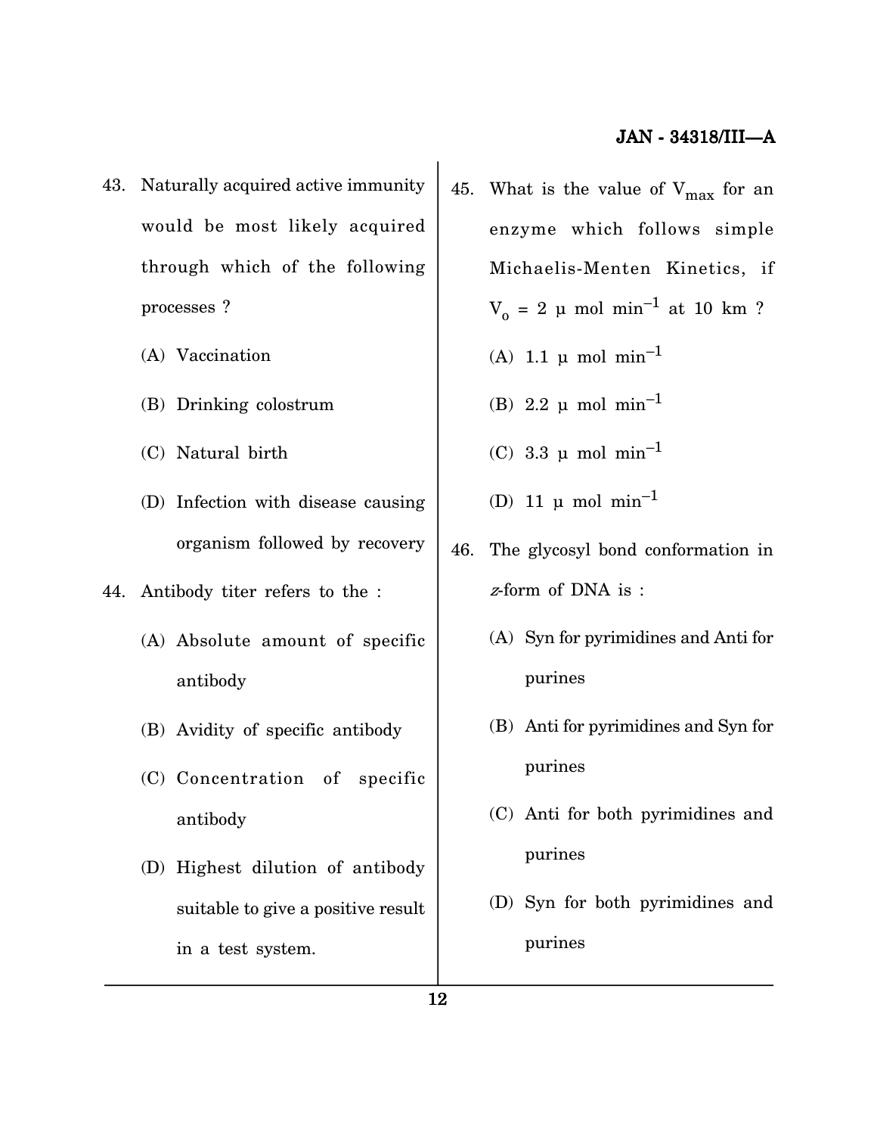- 43. Naturally acquired active immunity would be most likely acquired through which of the following processes ?
	- (A) Vaccination
	- (B) Drinking colostrum
	- (C) Natural birth
	- (D) Infection with disease causing organism followed by recovery
- 44. Antibody titer refers to the :
	- (A) Absolute amount of specific antibody
	- (B) Avidity of specific antibody
	- (C) Concentration of specific antibody
	- (D) Highest dilution of antibody suitable to give a positive result in a test system.
- 45. What is the value of  $V_{\text{max}}$  for an enzyme which follows simple Michaelis-Menten Kinetics, if  $V_o = 2 \mu$  mol min<sup>-1</sup> at 10 km ?
	- (A) 1.1  $\mu$  mol min<sup>-1</sup>
	- (B) 2.2 u mol min<sup>-1</sup>
	- (C) 3.3  $\mu$  mol min<sup>-1</sup>
	- (D) 11  $\mu$  mol min<sup>-1</sup>
- 46. The glycosyl bond conformation in <sup>z</sup>-form of DNA is :
	- (A) Syn for pyrimidines and Anti for purines
	- (B) Anti for pyrimidines and Syn for purines
	- (C) Anti for both pyrimidines and purines
	- (D) Syn for both pyrimidines and purines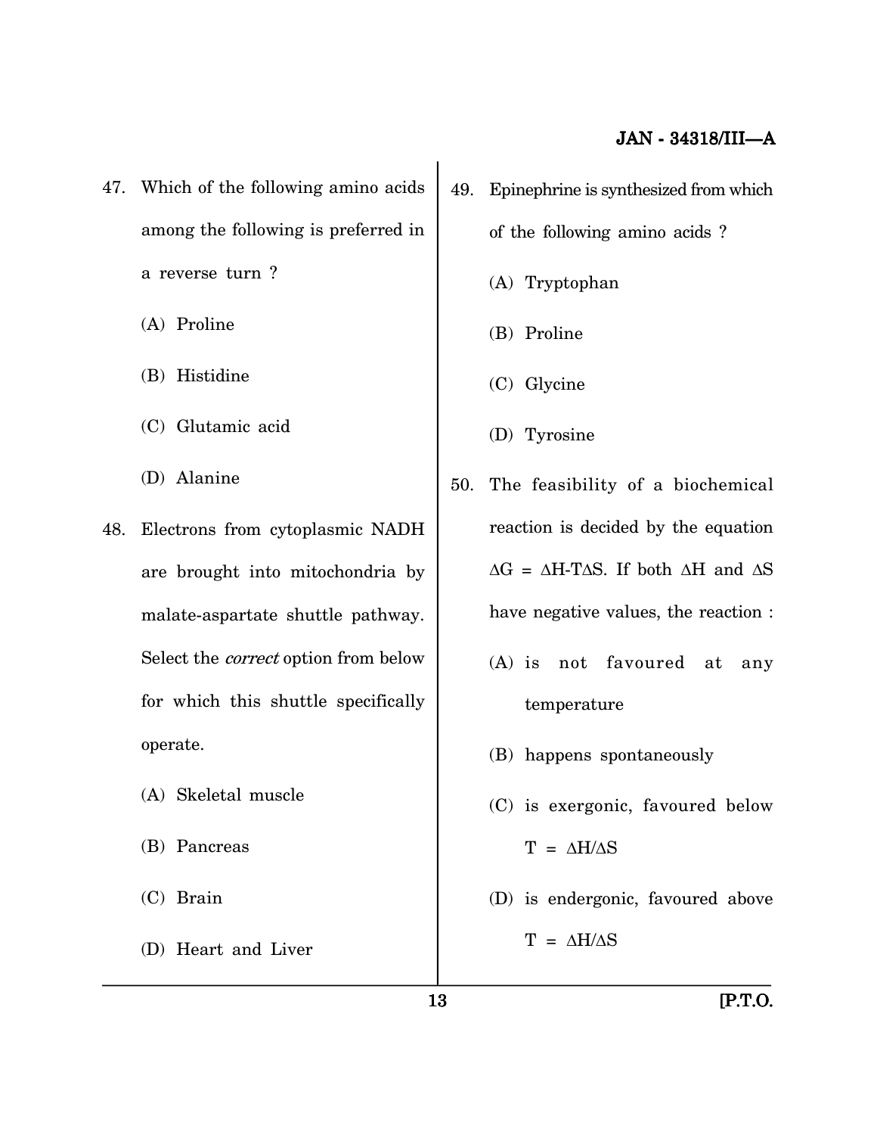- 47. Which of the following amino acids among the following is preferred in a reverse turn ?
	- (A) Proline
	- (B) Histidine
	- (C) Glutamic acid
	- (D) Alanine
- 48. Electrons from cytoplasmic NADH are brought into mitochondria by malate-aspartate shuttle pathway. Select the correct option from below for which this shuttle specifically operate.
	- (A) Skeletal muscle
	- (B) Pancreas
	- (C) Brain
	- (D) Heart and Liver
- 49. Epinephrine is synthesized from which of the following amino acids ?
	- (A) Tryptophan
	- (B) Proline
	- (C) Glycine
	- (D) Tyrosine
- 50. The feasibility of a biochemical reaction is decided by the equation  $\Delta G = \Delta H$ -T $\Delta S$ . If both  $\Delta H$  and  $\Delta S$ have negative values, the reaction : (A) is not favoured at any temperature
	- (B) happens spontaneously
	- (C) is exergonic, favoured below  $T = \Delta H / \Delta S$
	- (D) is endergonic, favoured above  $T = \Delta H / \Delta S$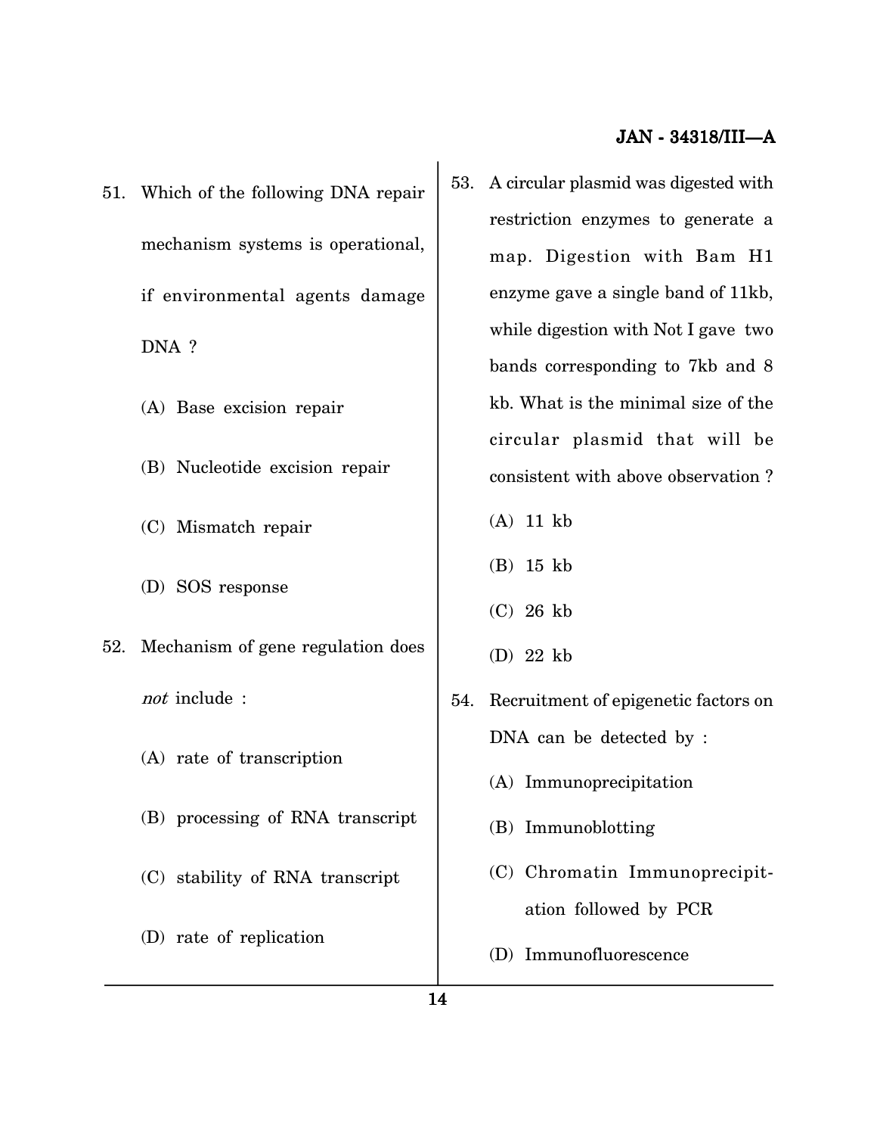- 51. Which of the following DNA repair mechanism systems is operational, if environmental agents damage DNA ?
	- (A) Base excision repair
	- (B) Nucleotide excision repair
	- (C) Mismatch repair
	- (D) SOS response
- 52. Mechanism of gene regulation does not include :
	- (A) rate of transcription
	- (B) processing of RNA transcript
	- (C) stability of RNA transcript
	- (D) rate of replication
- 53. A circular plasmid was digested with restriction enzymes to generate a map. Digestion with Bam H1 enzyme gave a single band of 11kb, while digestion with Not I gave two bands corresponding to 7kb and 8 kb. What is the minimal size of the circular plasmid that will be consistent with above observation ?
	- (A) 11 kb
	- (B) 15 kb
	- (C) 26 kb
	- (D) 22 kb
- 54. Recruitment of epigenetic factors on DNA can be detected by :
	- (A) Immunoprecipitation
	- (B) Immunoblotting
	- (C) Chromatin Immunoprecipitation followed by PCR
	- (D) Immunofluorescence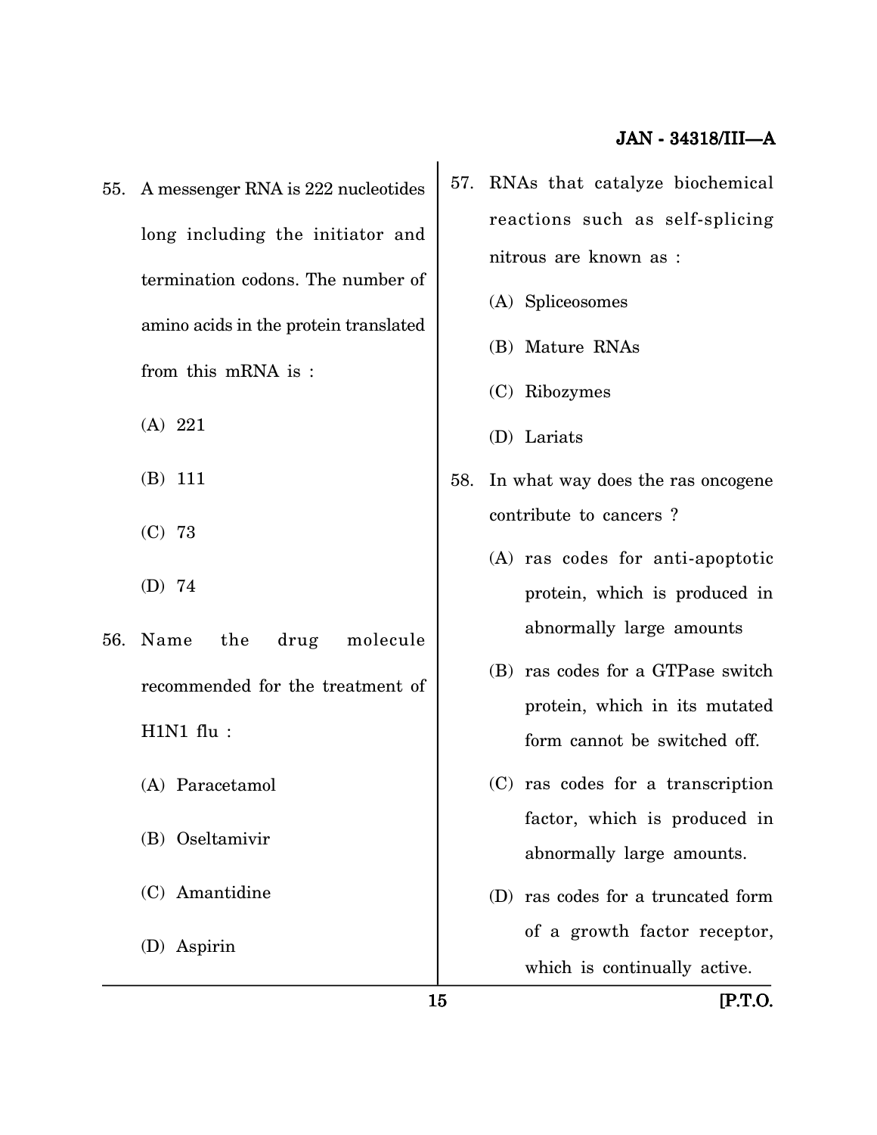- 55. A messenger RNA is 222 nucleotides long including the initiator and termination codons. The number of amino acids in the protein translated from this mRNA is :
	- (A) 221
	- (B) 111
	- (C) 73
	- (D) 74

56. Name the drug molecule recommended for the treatment of H1N1 flu :

- (A) Paracetamol
- (B) Oseltamivir
- (C) Amantidine
- (D) Aspirin
- 57. RNAs that catalyze biochemical reactions such as self-splicing nitrous are known as :
	- (A) Spliceosomes
	- (B) Mature RNAs
	- (C) Ribozymes
	- (D) Lariats
- 58. In what way does the ras oncogene contribute to cancers ?
	- (A) ras codes for anti-apoptotic protein, which is produced in abnormally large amounts
	- (B) ras codes for a GTPase switch protein, which in its mutated form cannot be switched off.
	- (C) ras codes for a transcription factor, which is produced in abnormally large amounts.
	- (D) ras codes for a truncated form of a growth factor receptor, which is continually active.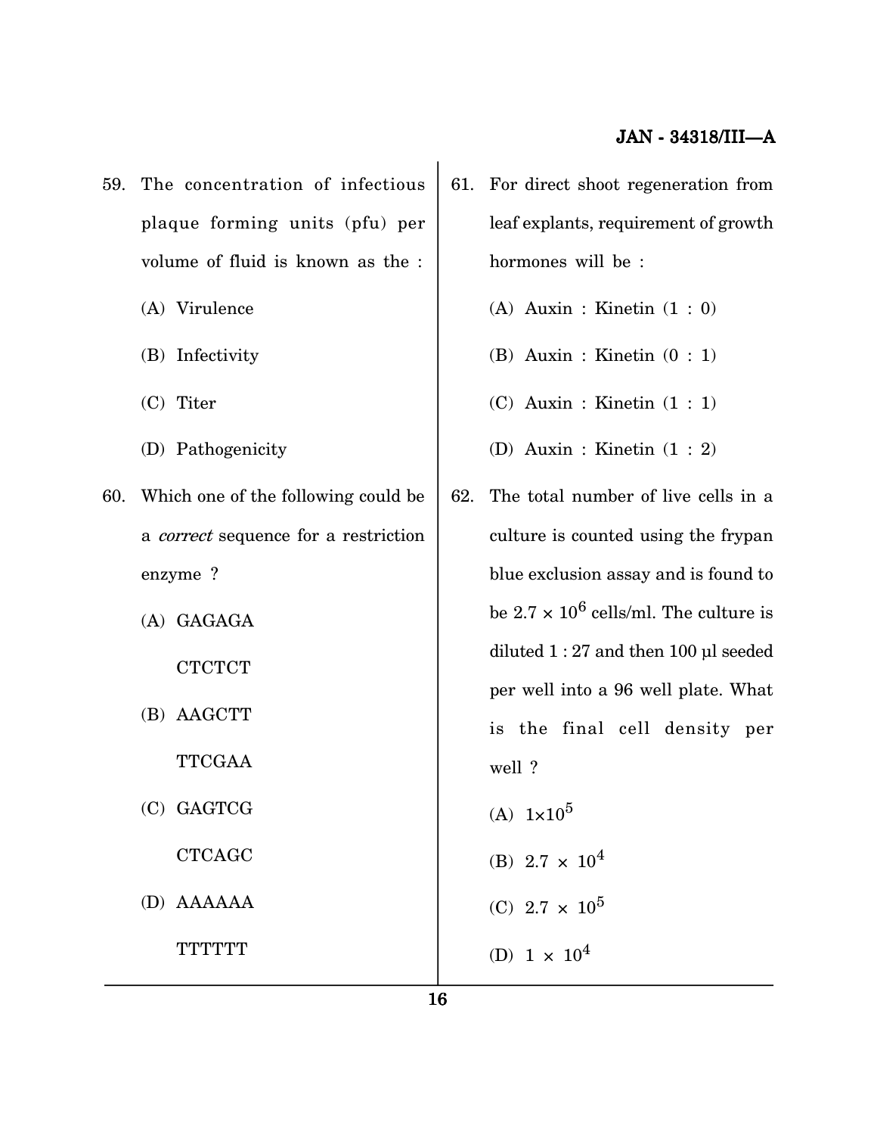- 59. The concentration of infectious plaque forming units (pfu) per volume of fluid is known as the :
	- (A) Virulence
	- (B) Infectivity
	- (C) Titer
	- (D) Pathogenicity
- 60. Which one of the following could be a correct sequence for a restriction enzyme ?
	- (A) GAGAGA
		- CTCTCT
	- (B) AAGCTT
		- TTCGAA
	- (C) GAGTCG
		- CTCAGC
	- (D) AAAAAA

**TTTTTTT** 

- 61. For direct shoot regeneration from leaf explants, requirement of growth hormones will be :
	- (A) Auxin : Kinetin (1 : 0)
	- (B) Auxin : Kinetin (0 : 1)
	- (C) Auxin : Kinetin  $(1:1)$
	- (D) Auxin : Kinetin (1 : 2)
- 62. The total number of live cells in a culture is counted using the frypan blue exclusion assay and is found to be  $2.7 \times 10^6$  cells/ml. The culture is diluted  $1:27$  and then 100 µl seeded per well into a 96 well plate. What is the final cell density per well ?
	- (A)  $1 \times 10^5$
	- (B)  $2.7 \times 10^4$

(C)  $2.7 \times 10^5$ 

(D)  $1 \times 10^4$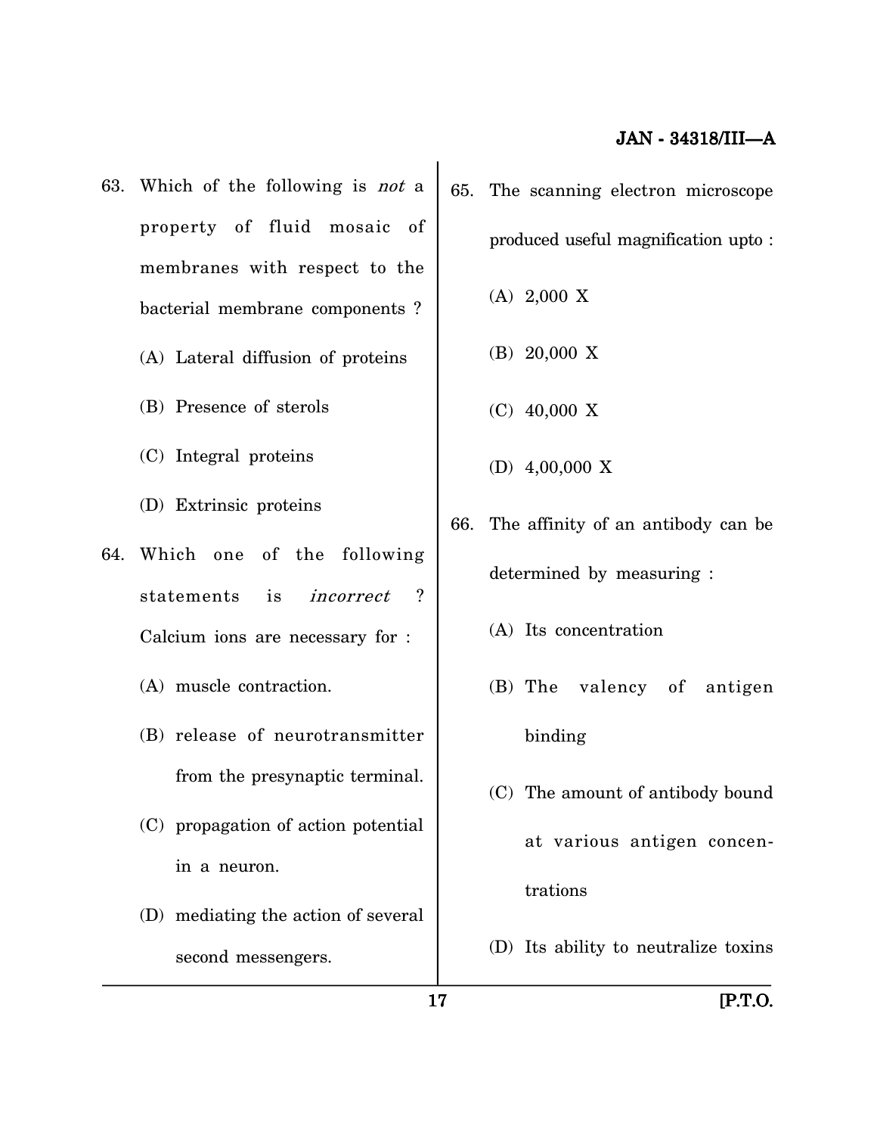- 63. Which of the following is not a property of fluid mosaic of membranes with respect to the bacterial membrane components ?
	- (A) Lateral diffusion of proteins
	- (B) Presence of sterols
	- (C) Integral proteins
	- (D) Extrinsic proteins
- 64. Which one of the following statements is *incorrect* ? Calcium ions are necessary for :
	- (A) muscle contraction.
	- (B) release of neurotransmitter from the presynaptic terminal.
	- (C) propagation of action potential in a neuron.
	- (D) mediating the action of several second messengers.
- 65. The scanning electron microscope produced useful magnification upto :
	- (A) 2,000 X
	- (B) 20,000 X
	- (C) 40,000 X
	- (D) 4,00,000 X
- 66. The affinity of an antibody can be determined by measuring :
	- (A) Its concentration
	- (B) The valency of antigen binding
	- (C) The amount of antibody bound
		- at various antigen concentrations
	- (D) Its ability to neutralize toxins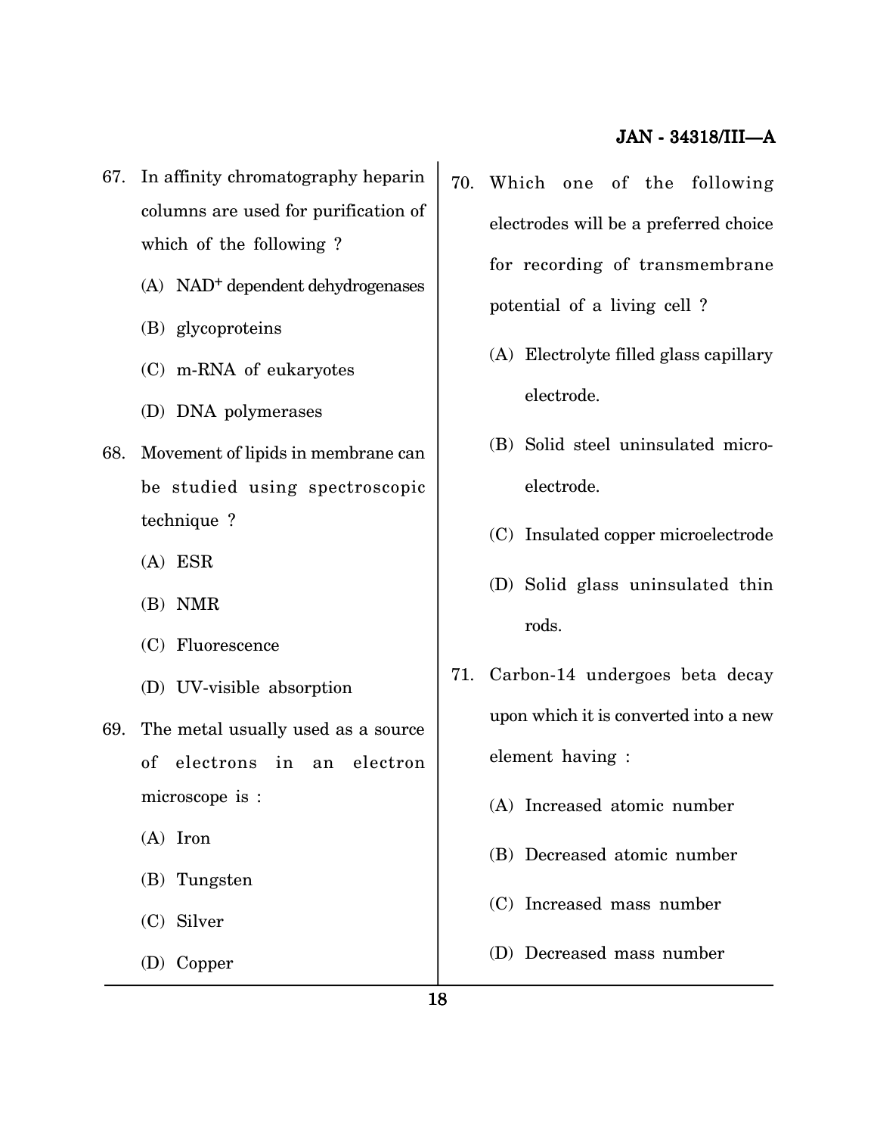- 67. In affinity chromatography heparin columns are used for purification of which of the following ?
	- (A) NAD<sup>+</sup> dependent dehydrogenases
	- (B) glycoproteins
	- (C) m-RNA of eukaryotes
	- (D) DNA polymerases
- 68. Movement of lipids in membrane can be studied using spectroscopic technique ?
	- (A) ESR
	- (B) NMR
	- (C) Fluorescence
	- (D) UV-visible absorption
- 69. The metal usually used as a source of electrons in an electron microscope is :
	- (A) Iron
	- (B) Tungsten
	- (C) Silver
	- (D) Copper
- 70. Which one of the following electrodes will be a preferred choice for recording of transmembrane potential of a living cell ?
	- (A) Electrolyte filled glass capillary electrode.
	- (B) Solid steel uninsulated microelectrode.
	- (C) Insulated copper microelectrode
	- (D) Solid glass uninsulated thin rods.
- 71. Carbon-14 undergoes beta decay upon which it is converted into a new element having :
	- (A) Increased atomic number
	- (B) Decreased atomic number
	- (C) Increased mass number
	- (D) Decreased mass number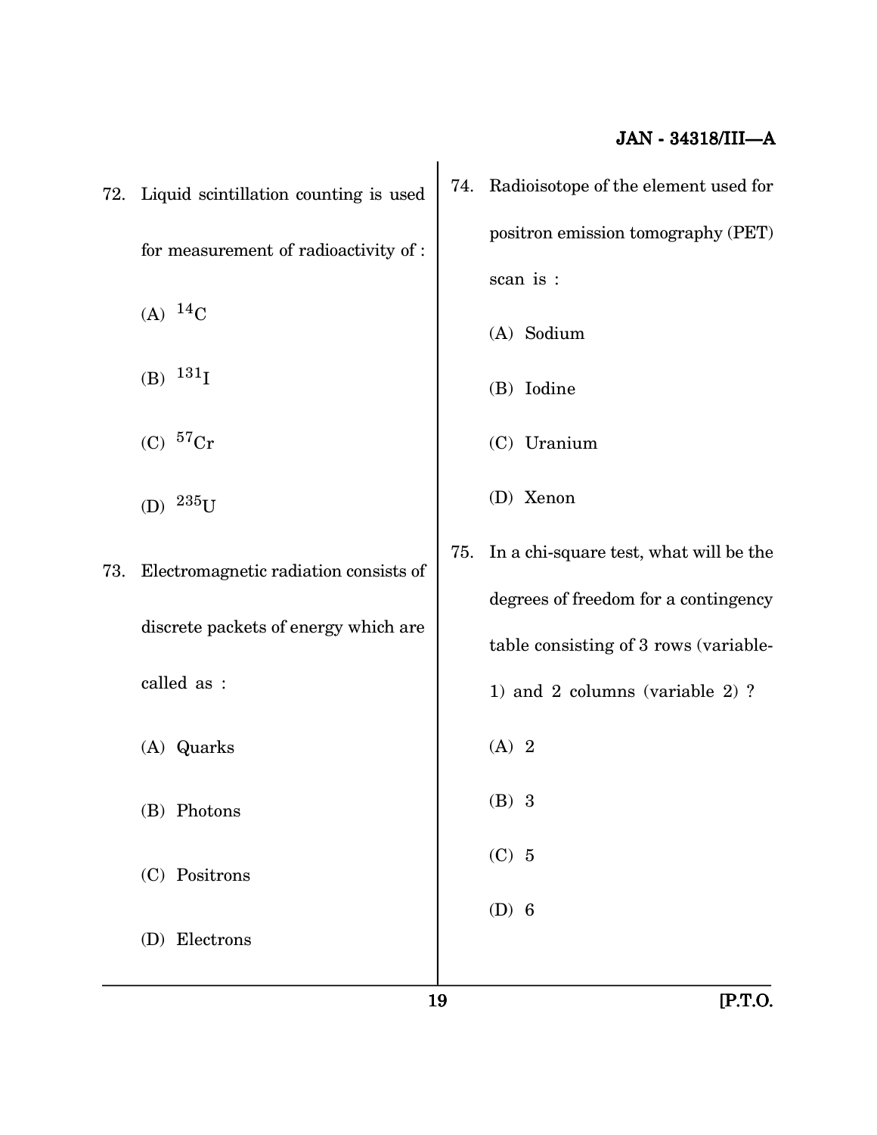|     | 19                                    |     | [P.T.O.                                  |
|-----|---------------------------------------|-----|------------------------------------------|
|     | (D) Electrons                         |     |                                          |
|     | (C) Positrons                         |     | $(D)$ 6                                  |
|     |                                       |     | $(C)$ 5                                  |
|     | (B) Photons                           |     | (B) 3                                    |
|     | (A) Quarks                            |     | $(A)$ 2                                  |
|     | called as :                           |     | 1) and 2 columns (variable 2)?           |
| 73. | discrete packets of energy which are  | 75. | table consisting of 3 rows (variable-    |
|     |                                       |     | degrees of freedom for a contingency     |
|     | Electromagnetic radiation consists of |     | In a chi-square test, what will be the   |
|     | $235$ <sup>U</sup><br>(D)             |     | (D) Xenon                                |
|     | (C) ${}^{57}Cr$                       |     | (C) Uranium                              |
|     | 131 <sub>I</sub><br>(B)               |     | (B) Iodine                               |
|     | (A) $^{14}C$                          |     | (A) Sodium                               |
|     |                                       |     | scan is :                                |
|     | for measurement of radioactivity of : |     | positron emission tomography (PET)       |
| 72. | Liquid scintillation counting is used |     | 74. Radioisotope of the element used for |
|     |                                       |     |                                          |